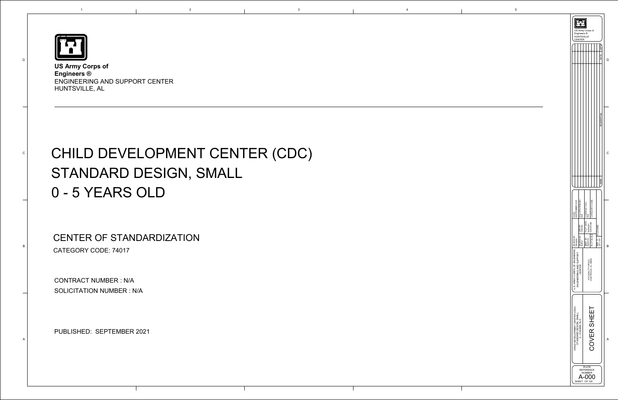<span id="page-0-0"></span>

D

C

B

A

1

**US Army Corps of Engineers ®**  ENGINEERING AND SUPPORT CENTER HUNTSVILLE, AL

## CHILD DEVELOPMENT CENTER (CDC) STANDARD DESIGN, SMALL 0 - 5 YEARS OLD

| Engineers ®<br><b>HUNTSVILLE</b><br>CENTER                                                                | US Army Corps of                                                                                                           |                                    |   |
|-----------------------------------------------------------------------------------------------------------|----------------------------------------------------------------------------------------------------------------------------|------------------------------------|---|
|                                                                                                           |                                                                                                                            | ATE                                |   |
|                                                                                                           |                                                                                                                            | DESCRI                             | С |
|                                                                                                           |                                                                                                                            | <b>MARK</b>                        |   |
| SOLICITATION NO.:<br>N/A<br>DATE:<br>SEPTEMBER 2021<br>DRAWN BY: CKD BY:<br>Author<br>Checker<br>Designer | CATEGORY CODE:<br>PLOT DATE: CONTRACT NO.:<br>9/28/2021 N/A<br>9/28/2021<br>PLOT SCALE: 9:06:49 AM<br>SBMT BY:<br>Approver | FILE NAME:<br>22" x 34"<br>SIZE: D | B |
| U.S. ARMY CORPS OF ENGINEERS   DESIGN BY:<br>ENGINEERING AND SUPPORT<br>CENTER                            | 475 QUALITY CIRCLE<br>HUNTSVILLE, AL 35806                                                                                 |                                    |   |
| CHILD DEVELOPMENT CENTER (CDC)<br>STANDARD DESIGN, SMALL<br>0-5YEARS OLD                                  | COVER SHEET                                                                                                                |                                    | A |
| SHEET                                                                                                     | <b>PLATE</b><br>REFERENCE<br>NUMBER<br>OF 120                                                                              |                                    |   |

CONTRACT NUMBER : N/A SOLICITATION NUMBER : N/A

e separation of the Second Second Second Second Second Second Second Second Second Second Second Second Second Second Second Second Second Second Second Second Second Second Second Second Second Second Second Second Second

CENTER OF STANDARDIZATION CATEGORY CODE: 74017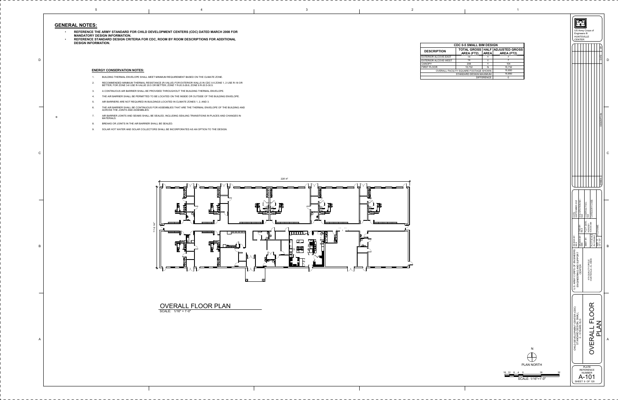**DESCRIPTION**EXTERIOR ALCOVE-EASTEXTERIOR ALCOVE-WEST CANOPYFIRST FLOOROVERALL FACILITY

| <b>CDC 0-5 SMALL BIM DESIGN</b>       |            |             |                                                          |  |  |
|---------------------------------------|------------|-------------|----------------------------------------------------------|--|--|
| <b>CRIPTION</b>                       | AREA (FT2) | <b>AREA</b> | <b>TOTAL GROSS   HALF   ADJUSTED GROSS</b><br>AREA (FT2) |  |  |
| OR ALCOVE-EAST                        | 14         |             |                                                          |  |  |
| OR ALCOVE-WEST                        | 14         |             |                                                          |  |  |
|                                       | 208        | ∨           | 104                                                      |  |  |
| <b>LOOR</b>                           | 15,732     | N           | 15,732                                                   |  |  |
| OVERALL FACILITY SQUARE FOOTAGE SHOWN |            |             | 15,850                                                   |  |  |
| STANDARD DESIGN MAXIMUM               |            |             | 15,850                                                   |  |  |
| <b>DIFFERENCE</b>                     |            |             |                                                          |  |  |



\_ \_ \_ \_ \_ \_ \_

16

12 8 4 16 32

SCALE: 1/16"=1'-0"

0

أصبحت ضربت

N

PLAN NORTH

|                                                                    | Engineers ®<br><b>HUNTSVILLE</b><br><b>CENTER</b> | US Army Corps of                                             |                                        |                                                                                                                                                           |
|--------------------------------------------------------------------|---------------------------------------------------|--------------------------------------------------------------|----------------------------------------|-----------------------------------------------------------------------------------------------------------------------------------------------------------|
|                                                                    |                                                   |                                                              |                                        | ≧<br>DATE                                                                                                                                                 |
|                                                                    |                                                   |                                                              |                                        | DESCRIPTION                                                                                                                                               |
|                                                                    |                                                   |                                                              |                                        | <b>SYMBOL</b>                                                                                                                                             |
| SEPTEMBER 2021<br>DATE:                                            | SOLICITATION NO.:<br>N/A                          | PLOT DATE:   CONTRACT NO.<br>$\frac{4}{2}$                   | CATEGORY CODE:                         |                                                                                                                                                           |
|                                                                    | RAWN BY: CKD BY:<br>BS<br>ᅙᇳ                      | 9/28/2021<br>SBMT BY:                                        | PLOT SCALE: 9:06:55 AM<br>As indicated | $\begin{array}{c} \mathsf{SIZE:}\ \mathsf{D}\end{array}\quad \begin{array}{c} \mathsf{FILE}\ \mathsf{NAME:}\ \\ \mathsf{FILE}\ \mathsf{NAME:}\end{array}$ |
| U.S. ARMY CORPS OF ENGINEERS DESIGN BY:<br>ENGINEERING AND SUPPORT | CENTER                                            | 475 QUALITY CIRCLE<br>HUNTSVILLE, AL 35806                   |                                        |                                                                                                                                                           |
| CHILD DEVELOPMENT CENTER (CDC)<br>STANDARD DESIGN, SMALL           | 0-5YEARS OLD                                      |                                                              | <b>OVERALL FLOOR</b>                   | <b>NATU</b>                                                                                                                                               |
|                                                                    |                                                   | <b>PLATE</b><br>REFERENCE<br>NUMBER<br>101<br>SHEET 9 OF 120 |                                        |                                                                                                                                                           |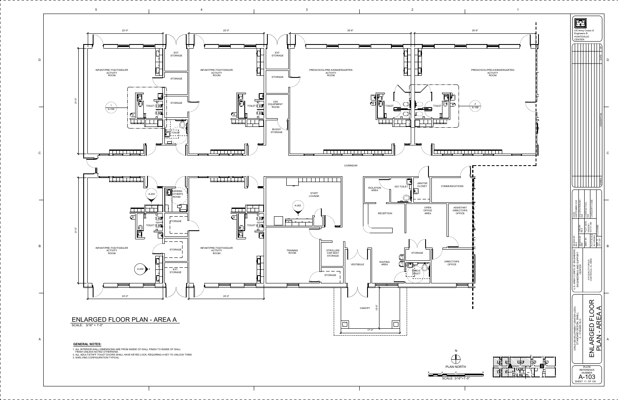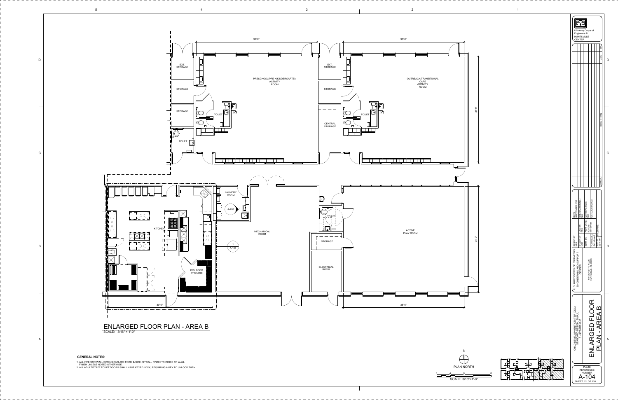![](_page_3_Figure_0.jpeg)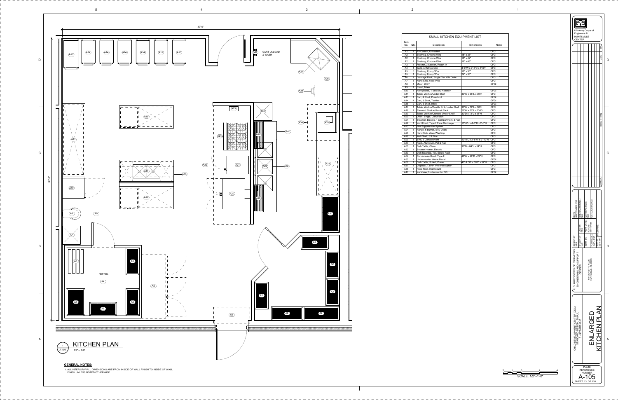2

![](_page_4_Figure_8.jpeg)

![](_page_4_Figure_0.jpeg)

![](_page_4_Figure_1.jpeg)

2 1 2 4 SCALE: 1/2"=1'-0" 0

| Item<br>No.    | Qty.           | Description                             | Dimensions                 | <b>Notes</b> |
|----------------|----------------|-----------------------------------------|----------------------------|--------------|
| A1             | 1              | Air Curtain, Unheated                   |                            | <b>CFCI</b>  |
| A <sub>2</sub> | 4              | Shelving, Chrome Wire                   | 18" x 36"                  | <b>CFCI</b>  |
| A2             | 1              | Shelving, Chrome Wire                   | 18" x 42"                  | <b>CFCI</b>  |
| A2             | 1              | Shelving, Chrome Wire                   | 18" x 48"                  | <b>CFCI</b>  |
| A <sub>3</sub> | 1              | Freezer, 3 Section, Reach-in            |                            | <b>CFCI</b>  |
| A4             | 1              | Walk-in Refrigerator                    | 8'-0"W x 7'-6"D x 8'-6"H   | <b>CFCI</b>  |
| A5             | 3              | Shelving, Epoxy Wire                    | 18" x 36"                  | <b>CFCI</b>  |
| A <sub>5</sub> | 1              | Shelving, Epoxy Wire                    | 24" x 36"                  | <b>CFCI</b>  |
| A6             | 1              | Dunnage Rack, Single Tier Milk Crate    |                            | <b>CFCI</b>  |
| A7             | 1              | Hand Sink, Food Prep                    |                            | <b>CFCI</b>  |
| A8             | 1              | Mixer, 20QT                             |                            | <b>GFGI</b>  |
| A9             | 1              | Stand, Mixer                            |                            |              |
| A10            | 1              | Refrigerator, 1 Section, Reach-in       |                            | <b>GFGI</b>  |
| A11            | 1              | Table, Work w/Under Shelf               | 30"W x 96"L x 36"H         | <b>CFCI</b>  |
| A13            | 1              | Cart, 4 Shelf, Preschool                |                            | <b>GFGI</b>  |
| A14            | 4              | Cart, 3 Shelf, Toddler                  |                            | <b>GFGI</b>  |
| A15            | $\overline{2}$ | Cart, 3 Shelf, Infant                   |                            | <b>GFGI</b>  |
| A17            | 1              | Table, Work w/Double Sink, Under Shelf  | 30"W x 72"L x 36"H         | <b>CFCI</b>  |
| A18            | 1              | Elevated Shelf w/Utensil Rack           | 22"W x 72"L x 7'-6"H       | <b>CFCI</b>  |
| A19            | 2              | Table, Work w/Drawers Under Shelf       | 30"D x 72"L x 36"H         | <b>CFCI</b>  |
| A20            | 1              | Oven, Single, Convection                |                            | <b>CFCI</b>  |
| A21            | 1              | Steamer, Electric, 1 Compartment, 3 Pan |                            | <b>CFCI</b>  |
| A22            | 1              | Vent Hood, Type I, Face Discharge       | 13'-0"L x 4'-0"D x 2'-0"H  | <b>CFCI</b>  |
| A23            | 1              | Fire Suppression System                 |                            | <b>CFCI</b>  |
| A24            | 1              | Range, 6 Burner, STD Oven               |                            | <b>CFCI</b>  |
| A26            | 1              | Hand Sink, Ware Washing                 |                            | <b>CFCI</b>  |
| A28            | $\overline{2}$ | Wall Shelf, SS Wire                     |                            | <b>CFCI</b>  |
| A29            | 1              | Sink, 3 Compartment                     | 10'-0"L x 2'-6"W x 2'-10"H | <b>CFCI</b>  |
| A30            | $\mathbf{1}$   | Rack, Aluminum, Pot & Pan               |                            | <b>CFCI</b>  |
| A31            | $\mathbf{1}$   | Dish Table, Clean                       | 30"D x 84"L x 34"H         | <b>CFCI</b>  |
| A32            | 1              | Booster Heater, Electric                |                            | <b>CFCI</b>  |
| A33            | 1              | Dish Machine, Tall, Single Rack         |                            | <b>CFCI</b>  |
| A34            | 1              | Condensate Hood, Type II                | 48"W x 42"D x 24"H         | <b>CFCI</b>  |
| A35            | $\mathbf{1}$   | Undercounter Waste Barrel               |                            | <b>GFGI</b>  |
| A36            | 1              | Dish Table, Soiled, Corner              | 40" & 50" x 30"D x 34"H    | <b>CFCI</b>  |
| A37            | 1              | Disposal, 1.5HP, Pre-rinse Spray        |                            | <b>CFCI</b>  |
| A38            | 1              | Hose Reel, Wall Mount                   |                            | <b>CFCI</b>  |
| A40            | 1              | Ice Maker, Undercounter, SS             |                            | GFGI         |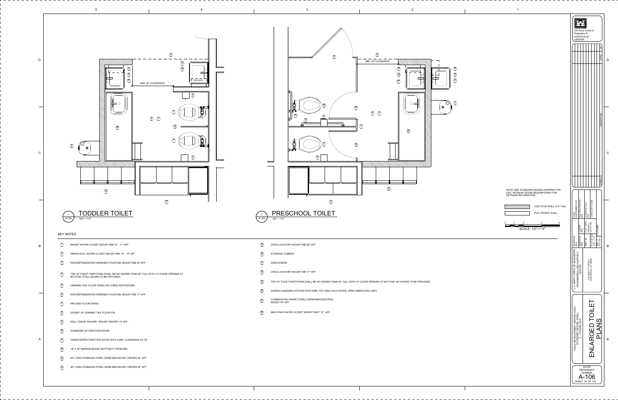2

- 
- 
- 
- 
- 
- 
- 
- 

![](_page_5_Figure_1.jpeg)

![](_page_5_Figure_0.jpeg)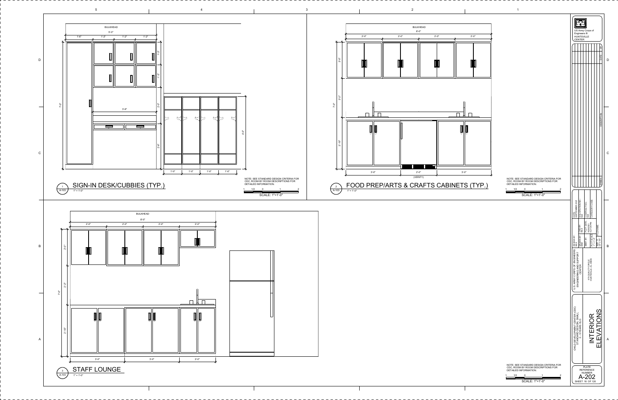![](_page_6_Figure_0.jpeg)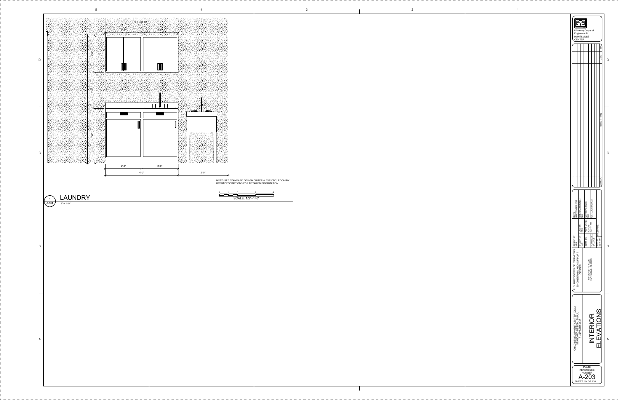![](_page_7_Figure_0.jpeg)

2

![](_page_7_Figure_4.jpeg)

| NOTE: SEE STANDARD DESIGN CRITERIA FOR CDC, ROOM BY |
|-----------------------------------------------------|
| <u>BAAU BEAABIBTIAUA EAR BETAILER INFARUATIAU</u>   |

 1 2 4 SCALE: 1/2"=1'-0" 0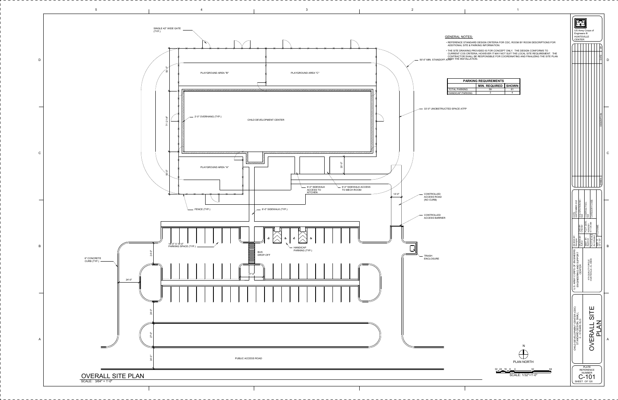| <b>PARKING REQUIREMENTS</b> |                              |    |  |  |
|-----------------------------|------------------------------|----|--|--|
|                             |                              |    |  |  |
|                             | <b>MIN. REQUIRED   SHOWN</b> |    |  |  |
| AL PARKING                  | 59                           | 61 |  |  |
| DICAP PARKING               |                              |    |  |  |

• THE SITE DRAWING PROVIDED IS FOR CONCEPT ONLY. THE DESIGN CONFORMS TO CURRENT COS CRITERIA, HOWEVER IT MAY NOT SUIT THE LOCAL SITE REQUIREMENT. THE CONTRACTOR SHALL BE RESPONSIBLE FOR COORDINATING AND FINALIZING THE SITE PLAN<br><del>WI</del>BH THE INSTALLATION.

 $32 - 24$  24 16 8 32 64 SCALE: 1/32"=1'-0" 0 NPLAN NORTH

![](_page_8_Figure_6.jpeg)

![](_page_8_Figure_0.jpeg)

## GENERAL NOTES:

• REFERENCE STANDARD DESIGN CRITERIA FOR CDC, ROOM BY ROOM DESCRIPTIONS FOR ADDITIONAL SITE & PARKING INFORMATION.